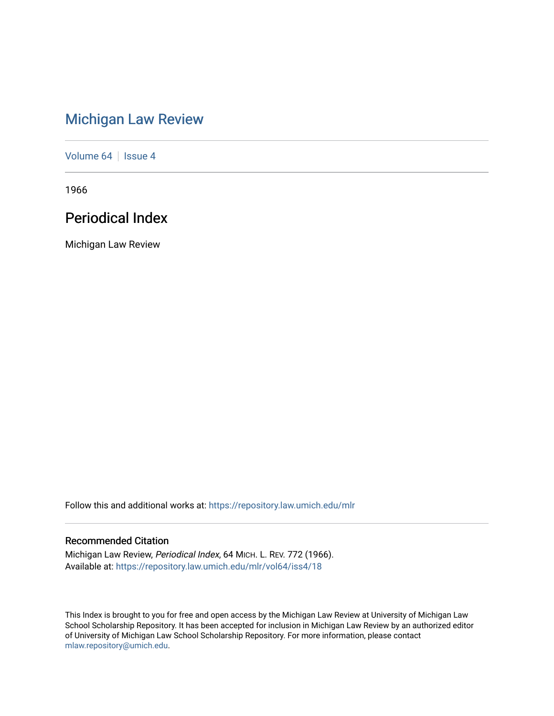# [Michigan Law Review](https://repository.law.umich.edu/mlr)

[Volume 64](https://repository.law.umich.edu/mlr/vol64) | [Issue 4](https://repository.law.umich.edu/mlr/vol64/iss4)

1966

# Periodical Index

Michigan Law Review

Follow this and additional works at: [https://repository.law.umich.edu/mlr](https://repository.law.umich.edu/mlr?utm_source=repository.law.umich.edu%2Fmlr%2Fvol64%2Fiss4%2F18&utm_medium=PDF&utm_campaign=PDFCoverPages) 

## Recommended Citation

Michigan Law Review, Periodical Index, 64 MICH. L. REV. 772 (1966). Available at: [https://repository.law.umich.edu/mlr/vol64/iss4/18](https://repository.law.umich.edu/mlr/vol64/iss4/18?utm_source=repository.law.umich.edu%2Fmlr%2Fvol64%2Fiss4%2F18&utm_medium=PDF&utm_campaign=PDFCoverPages) 

This Index is brought to you for free and open access by the Michigan Law Review at University of Michigan Law School Scholarship Repository. It has been accepted for inclusion in Michigan Law Review by an authorized editor of University of Michigan Law School Scholarship Repository. For more information, please contact [mlaw.repository@umich.edu.](mailto:mlaw.repository@umich.edu)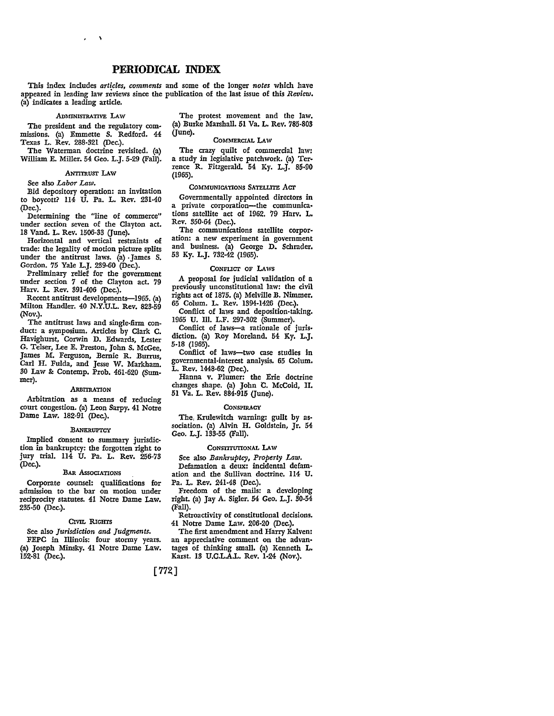### **PERIODICAL INDEX**

This index includes *art{cles, comments* and some of the longer *notes* which have appeared in leading law reviews since the publication of the last issue of this *Review.*  (a) indicates a leading article.

ADMINISTRATIVE LAW

The president and the regulatory commissions. (a) Emmette S. Redford. 44 Texas L. Rev. 288-321 (Dec.).

The Waterman doctrine revisited. (a) William E. Miller. 54 Geo. L.J. 5-29 (Fall).

#### ANTITRUST LAW

See also *Labor Law.* 

Bid depository operation: an invitation to boycott? 114 U. Pa. L. Rev. 231-40 (Dec.).

Determining the "line of commerce" under section seven of the Clayton act. 18 Vand. L. Rev. 1506-33 (June).

Horizontal and vertical restraints of trade: the legality of motion picture splits under the antitrust laws. (a) James S. Gordon. 75 Yale L.J. 239-60 (Dec.).

Preliminary relief for the government under section *7* of the Clayton act. 79 Harv. L. Rev. 391-406 (Dec.).

Recent antitrust developments-1965. (a) Milton Handler. 40 N.Y.U.L. Rev. 823-59 (Nov.).

The antitrust laws and single-firm conduct: a symposium. Articles by Clark C. Havighurst, Corwin D. Edwards, Lester G. Telser, Lee E. Preston, John S. McGee, James M. Ferguson, Bernie R. Burrus, Carl H. Fulda, and Jesse W. Markham. 30 Law & Contemp. Prob. 461-620 (Summer).

#### .ARBITRATION

Arbitration as a means of reducing court congestion. (a) Leon Sarpy. 41 Notre Dame Law. 182-91 (Dec.).

#### **BANKRUPTCY**

Implied consent to summary jurisdiction in bankruptcy: the forgotten right to jury trial. 114 U. Pa. L. Rev. 256-73 (Dec.).

### BAR Associations

Corporate counsel: qualifications for admission to the bar on motion under reciprocity statutes. 41 Notre Dame Law. 235-50 (Dec.).

#### CIVIL RIGHTS

See also *Jurisdiction and Judgments.* 

FEPC in Illinois: four stormy years. (a) Joseph Minsky. 41 Notre Dame Law. 152-81 (Dec.).

The protest movement and the law. (a) Burke Marshall. 51 Va. L. Rev. 785-803  $($ June $).$ 

#### COMMERCIAL LAW

The crazy quilt of commercial law: a study in legislative patchwork. (a) Terrence R. Fitzgerald. 54 Ky. L.J. 85-90 (1965).

#### COMMUNICATIONS SATELLITE ACT

Governmentally appointed directors in a private corporation-the communications satellite act of 1962. 79 Harv. **L.**  Rev. 350-64 (Dec.).

The communications satellite corpor• ation: a new experiment in government and business. (a) George D. Schrader. 53 Ky. L.J. 732-42 (1965).

#### CONFIJcr OF LAws

A proposal for judicial validation of a previously unconstitutional law: the civil rights act of 1875. (a) Melville B. Nimmer. 65 Colum. L. Rev. 1394-1426 (Dec,).

Conflict of laws and deposition-taking. 1965 U. Ill. L.F. 297-302 (Summer).

Conflict of laws-a rationale of jurisdiction. (a) Roy Moreland. 54 Ky. L.J. 5-18 (1965).

Conflict of laws-two case studies in governmental-interest analysis. 65 Colum. L. Rev. 1448-62 (Dec.).

Hanna v. Plumer: the Erie doctrine changes shape. (a) John C. McCoid, II. 51 Va. L. Rev. 884-915 Gune).

#### **CONSPIRACY**

The, Krulewitch warning: guilt by association. (a) Alvin H. Goldstein, Jr. 54 Geo. L.J. 133-55 (Fall).

#### CONSTITUTIONAL LAW

See also *Bankruptcy, Property Law.*  Defamation a deux: incidental defamation and the Sullivan doctrine. 114 U. Pa. L. Rev. 241-48 (Dec.).

Freedom of the mails: a developing right. (a) Jay A. Sigler. 54 Geo. L.J. 30-54 (Fall).

Retroactivity of constitutional decisions. 41 Notre Dame Law. 206-20 (Dec.).

The first amendment and Harry Kalven: an appreciative comment on the advantages of thinking small. (a) Kenneth L. Karst. 13 U.C.L.A.L. Rev. 1-24 (Nov.).

[772]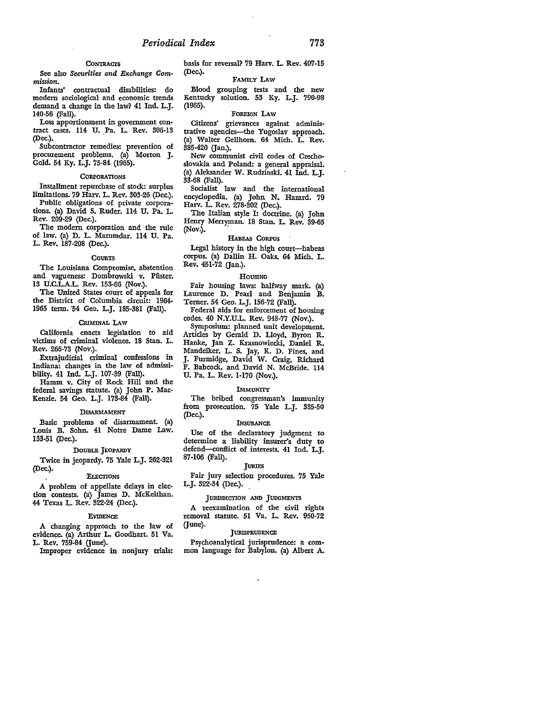#### **CONTRACTS**

See also *Securities and Exchange Commission.* 

Infants' contractual disabilities: do modem sociological and economic trends demand a change in the law? 41 Ind. L.J. 140-56 (Fall).

Loss apportionment in government contract cases. 114 U. Pa. L. Rev. 306-13 (Dec.).

Subcontractor remedies: prevention of procurement problems. (a) Morton J. Gold. 54 Ky. L.J. 75-84 (1965).

#### **CORPORATIONS**

Installment repurchase of stock: surplus limitations. 79 Harv. L. Rev. 303-26 (Dec.).

Public obligations of private corporations. (a) David S. Ruder. 114 U. Pa. L. Rev. 209-29 (Dec.).

The modem corporation and the rule of law. (a) D. L. Mazumdar. 114 U. Pa. L. Rev. 187-208 (Dec.).

#### **COURTS**

The Louisiana Compromise, abstention and vagueness: Dombrowski v. Pfister. 13 U.C.L.A.L. Rev. 153-66 (Nov.).

The United States court of appeals for the District of Columbia circuit: 1964- 1965 term. 54 Geo. L.J. 185-381 (Fall).

#### CRIMINAL LAW

California. enacts legislation to aid victims of criminal violence. 18 Stan. L. Rev. 266-73 (Nov.).

Extrajudicial criminal confessions in Indiana: changes in the law of admissibility. 41 Ind. L.J. 107-39 (Fall).

Hamm v. City of Rock Hill and the federal savings statute. (a) John P. Mac-Kenzie. 54 Geo. L.J. 173-84 (Fall).

#### DISARMAMENT

Basic problems of disarmament. (a) Louis B. Sohn. 41 Notre Dame Law. 133-51 (Dec.).

#### DOUBLE JEOPARDY

Twice in jeopardy. 75 Yale L.J. 262-321 (Dec.). ELEcrIONS

A problem of appellate delays in election contests. (a) James D. McKeithan. 44 Texas L. Rev. 322-24 (Dec.).

#### EVIDENCE

A changing approach to the law of evidence. (a) Arthur L. Goodhart. 51 Va. L. Rev. 759-84 (June).

Improper evidence in nonjury trials:

basis for reversal? 79 Harv. L. Rev. 407-15 (Dec.).

#### FAMILY LAw

Blood grouping tests and the new Kentucky solution. 53 Ky. L.J. 790-98 (1965).

#### FOREIGN LAW

Citizens' grievances against administrative agencies-the Yugoslav approach. (a) Walter Gellhom. 64 Mich. L. Rev. 385-420 (Jan.).

New communist civil codes of Czechoslovakia and Poland: a general appraisal. (a) Aleksander W. Rudzinski. 41 Ind. L.J. 33-68 (Fall).

Socialist law and the international encyclopedia. (a) John N. Hazard. 79 Harv. L. Rev. 278-302 (Dec.).

The Italian style I: doctrine. (a) John Henry Merryman. 18 Stan. L. Rev. 39-65 (Nov.).

#### HABEAS CORPUS

Legal history in the high court-habeas corpus. (a) Dallin H. Oaks. 64 Mich. L. Rev. 451-72 (Jan.).

#### HOUSING

Fair housing laws: halfway mark. (a) Laurence D. Pearl and Benjamin B. Temer. 54 Geo. L.J. 156-72 (Fall).

Federal aids for enforcement of housing codes. 40 N.Y.U.L. Rev. 948-77 (Nov.).

Symposium: planned unit development. Articles by Gerald D. Lloyd, Byron R. Hanke, Jan Z. Krasnowiecki, Daniel R. Mandelker, L. S. Jay, K. D. Fines, and J. Furmidge, David W. Craig, Richard F. Babcock, and David N. McBride. 114 U. Pa. L. Rev. 1-170 (Nov.).

#### IMMUNITY

The bribed congressman's immunity from prosecution. 75 Yale L.J. 335-50 (Dec.).

#### INSURANCE

Use of the declaratory judgment to determine a liability insurer's duty to defend-conflict of interests. 41 Ind. L.J. 87-106 (Fall).

#### **TURIES**

Fair jury selection procedures. 75 Yale L.J. 322-34 (Dec.).

#### JURISDicrION AND JUDGMENTS

A reexamination of the civil rights removal statute. 51 Va. L. Rev. 950-72 (June).

#### **JURISPRUDENCE**

Psychoanalytical jurisprudence: a common language for Babylon. (a) Albert A.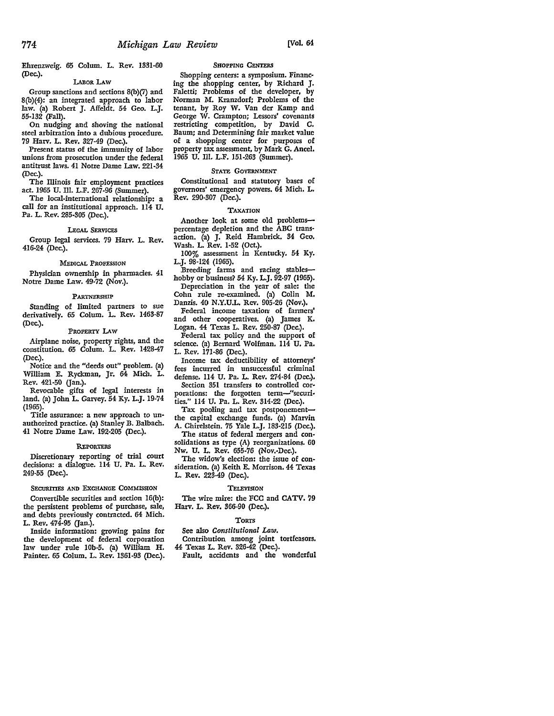Ehrenzweig. 65 Colum. L. Rev. 1331-60 (Dec.).

#### LABOR LAW

Group sanctions and sections 8(b)(7) and 8(b)(4): an integrated approach to labor law. {a) Robert J. Affeldt. 54 Geo. L.J. 55-132 (Fall).

On nudging and shoving the national steel arbitration into a dubious procedure. 79 Harv. L. Rev. 327-49 (Dec.).

Present status of the immunity of labor unions from prosecution under the federal antitrust laws. 41 Notre Dame Law. 221-34 (Dec.).

The Illinois fair employment practices act. 1965 U. Ill. L.F. 267-96 (Summer).

The local-international relationship: a call for an institutional approach. 114 U. Pa. L. Rev. 285-305 (Dec.).

#### LEGAL SERVICES

Group legal services. 79 Harv. L. Rev. 416-24 (Dec.).

#### MEDICAL PROFESSION

Physician ownership in pharmacies. 41 Notre Dame Law. 49-72 (Nov.).

#### PARTNERSHIP

Standing of limited partners to sue derivatively. 65 Colum. L. Rev. 1463-87 (Dec.).

#### PROPERTY LAW

Airplane noise, property rights, and the constitution. 65 Colum. L. Rev. 1428-47 (Dec.).

Notice and the "deeds out" problem. (a) William E. Ryckman, Jr. 64 Mich. L. Rev. 421-50 (Jan.).

Revocable gifts of legal interests in land. (a) John L. Garvey. 54 Ky. L.J. 19-74 (1965).

Title assurance: a new approach to unauthorized practice. (a) Stanley B. Balbach. 41 Notre Dame Law. 192-205 (Dec.).

#### REPORTERS

Discretionary reporting of trial court decisions: a dialogue. 114 U. Pa. L. Rev. 249-55 (Dec.).

#### SECURITIES AND ExCHANGE COMMISSION

Convertible securities and section 16(b): the persistent problems of purchase, sale, and debts previously contracted. 64 Mich. L. Rev.  $47\overline{4}$ -95 (Jan.).

Inside information: growing pains for the development of federal corporation law under rule lOb-5. (a) William H. Painter. 65 Colum. L. Rev. 1361-93 (Dec.).

#### SHOPPING CENTERS

Shopping centers: a symposium. Financ• ing the shopping center, by Richard J. Faletti; Problems of the developer, by Norman M. Kranzdorf; Problems of the tenant, by Roy W. Van der Kamp and George W. Crampton; Lessors' covenants restricting competition, by David C. Baum; and Determining fair market value of a shopping center for purposes of property tax assessment, by Mark G. Ancel. 1965 U. Ill. L.F. 151-263 (Summer).

#### STATE GOVERNMENT

Constitutional and statutory bases of governors' emergency powers. 64 Mich. L. Rev. 290-307 (Dec.).

#### TAXATION

Another look at some old problemspercentage depletion and the ABC trans• action. (a) J. Reid Hambrick. 34 Geo. Wash. L. Rev. 1-52 (Oct.).

100% assessment in Kentucky. 54 Ky. L.J. 98-124 (1965).

Breeding farms and racing stableshobby or business? 54 Ky. L.J. 92-97 (1965). Depreciation in the year of sale: the Cohn rule re-examined. (a) Colin M.

Danzis. 40 N.Y.U.L. Rev. 905-26 (Nov.). Federal income taxation of farmers'

and other cooperatives. (a) James K. Logan. 44 Texas L. Rev. 250·87 (Dec.).

Federal tax policy and the support of science. {a) Bernard Wolfman. 114 U. Pa. L. Rev. 171·86 (Dec.).

Income tax deductibility of attorneys' fees incurred in unsuccessful criminal defense. 114 U. Pa. L. Rev. 274-84 (Dec.).

Section 351 transfers to controlled cor• porations: the forgotten term-"securities.'' 114 U. Pa. L. Rev. 314-22 (Dec.).

Tax pooling and tax postponementthe capital exchange funds. (a) Marvin A. Chirelstein. 75 Yale L.J. 183·215 (Dec.).

The status of federal mergers and con• solidations as type (A} reorganizations. 60 Nw. U. L. Rev. 655-76 (Nov.•Dec.).

The widow's election: the issue of consideration. {a) Keith E. Morrison. 44 Texas L. Rev. 223-49 (Dec.).

#### **TELEVISION**

The wire mire: the FCC and CATV. 79 Harv. L. Rev. 366-90 (Dec.).

#### **TORTS**

See also *Constitutional Law.* 

Contribution among joint tortfeasors.

44 Texas L. Rev. 326-42 (Dec.).

Fault, accidents and the wonderful